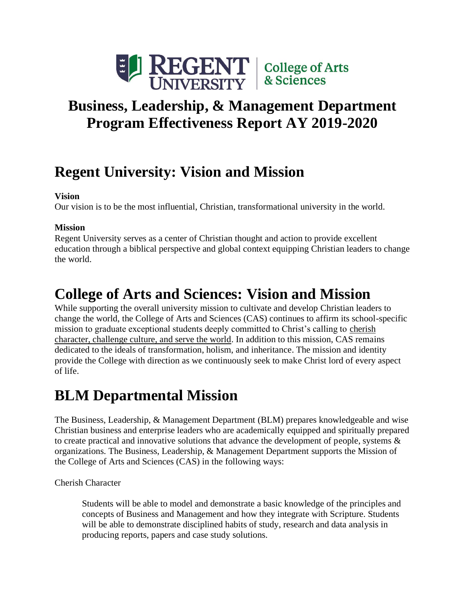

# **Business, Leadership, & Management Department Program Effectiveness Report AY 2019-2020**

# **Regent University: Vision and Mission**

## **Vision**

Our vision is to be the most influential, Christian, transformational university in the world.

## **Mission**

Regent University serves as a center of Christian thought and action to provide excellent education through a biblical perspective and global context equipping Christian leaders to change the world.

# **College of Arts and Sciences: Vision and Mission**

While supporting the overall university mission to cultivate and develop Christian leaders to change the world, the College of Arts and Sciences (CAS) continues to affirm its school-specific mission to graduate exceptional students deeply committed to Christ's calling to cherish character, challenge culture, and serve the world. In addition to this mission, CAS remains dedicated to the ideals of transformation, holism, and inheritance. The mission and identity provide the College with direction as we continuously seek to make Christ lord of every aspect of life.

## **BLM Departmental Mission**

The Business, Leadership, & Management Department (BLM) prepares knowledgeable and wise Christian business and enterprise leaders who are academically equipped and spiritually prepared to create practical and innovative solutions that advance the development of people, systems  $\&$ organizations. The Business, Leadership, & Management Department supports the Mission of the College of Arts and Sciences (CAS) in the following ways:

Cherish Character

Students will be able to model and demonstrate a basic knowledge of the principles and concepts of Business and Management and how they integrate with Scripture. Students will be able to demonstrate disciplined habits of study, research and data analysis in producing reports, papers and case study solutions.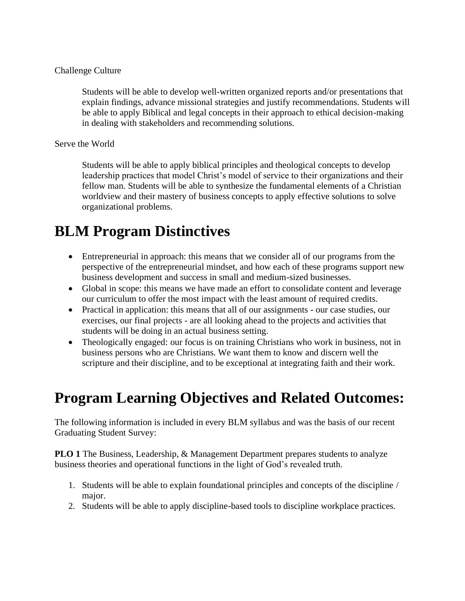#### Challenge Culture

Students will be able to develop well-written organized reports and/or presentations that explain findings, advance missional strategies and justify recommendations. Students will be able to apply Biblical and legal concepts in their approach to ethical decision-making in dealing with stakeholders and recommending solutions.

#### Serve the World

Students will be able to apply biblical principles and theological concepts to develop leadership practices that model Christ's model of service to their organizations and their fellow man. Students will be able to synthesize the fundamental elements of a Christian worldview and their mastery of business concepts to apply effective solutions to solve organizational problems.

## **BLM Program Distinctives**

- Entrepreneurial in approach: this means that we consider all of our programs from the perspective of the entrepreneurial mindset, and how each of these programs support new business development and success in small and medium-sized businesses.
- Global in scope: this means we have made an effort to consolidate content and leverage our curriculum to offer the most impact with the least amount of required credits.
- Practical in application: this means that all of our assignments our case studies, our exercises, our final projects - are all looking ahead to the projects and activities that students will be doing in an actual business setting.
- Theologically engaged: our focus is on training Christians who work in business, not in business persons who are Christians. We want them to know and discern well the scripture and their discipline, and to be exceptional at integrating faith and their work.

## **Program Learning Objectives and Related Outcomes:**

The following information is included in every BLM syllabus and was the basis of our recent Graduating Student Survey:

**PLO 1** The Business, Leadership, & Management Department prepares students to analyze business theories and operational functions in the light of God's revealed truth.

- 1. Students will be able to explain foundational principles and concepts of the discipline / major.
- 2. Students will be able to apply discipline-based tools to discipline workplace practices.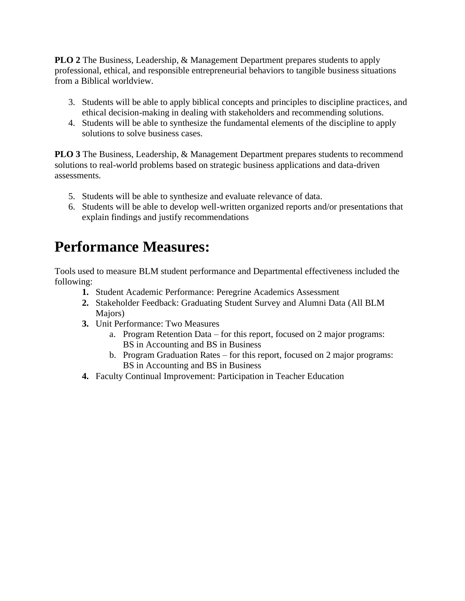**PLO 2** The Business, Leadership, & Management Department prepares students to apply professional, ethical, and responsible entrepreneurial behaviors to tangible business situations from a Biblical worldview.

- 3. Students will be able to apply biblical concepts and principles to discipline practices, and ethical decision-making in dealing with stakeholders and recommending solutions.
- 4. Students will be able to synthesize the fundamental elements of the discipline to apply solutions to solve business cases.

**PLO 3** The Business, Leadership, & Management Department prepares students to recommend solutions to real-world problems based on strategic business applications and data-driven assessments.

- 5. Students will be able to synthesize and evaluate relevance of data.
- 6. Students will be able to develop well-written organized reports and/or presentations that explain findings and justify recommendations

## **Performance Measures:**

Tools used to measure BLM student performance and Departmental effectiveness included the following:

- **1.** Student Academic Performance: Peregrine Academics Assessment
- **2.** Stakeholder Feedback: Graduating Student Survey and Alumni Data (All BLM Majors)
- **3.** Unit Performance: Two Measures
	- a. Program Retention Data for this report, focused on 2 major programs: BS in Accounting and BS in Business
	- b. Program Graduation Rates for this report, focused on 2 major programs: BS in Accounting and BS in Business
- **4.** Faculty Continual Improvement: Participation in Teacher Education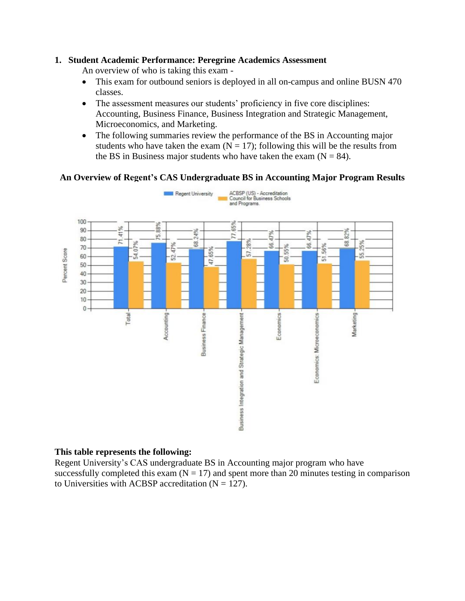#### **1. Student Academic Performance: Peregrine Academics Assessment**

An overview of who is taking this exam -

- This exam for outbound seniors is deployed in all on-campus and online BUSN 470 classes.
- The assessment measures our students' proficiency in five core disciplines: Accounting, Business Finance, Business Integration and Strategic Management, Microeconomics, and Marketing.
- The following summaries review the performance of the BS in Accounting major students who have taken the exam  $(N = 17)$ ; following this will be the results from the BS in Business major students who have taken the exam  $(N = 84)$ .

## **An Overview of Regent's CAS Undergraduate BS in Accounting Major Program Results**



### **This table represents the following:**

Regent University's CAS undergraduate BS in Accounting major program who have successfully completed this exam  $(N = 17)$  and spent more than 20 minutes testing in comparison to Universities with ACBSP accreditation  $(N = 127)$ .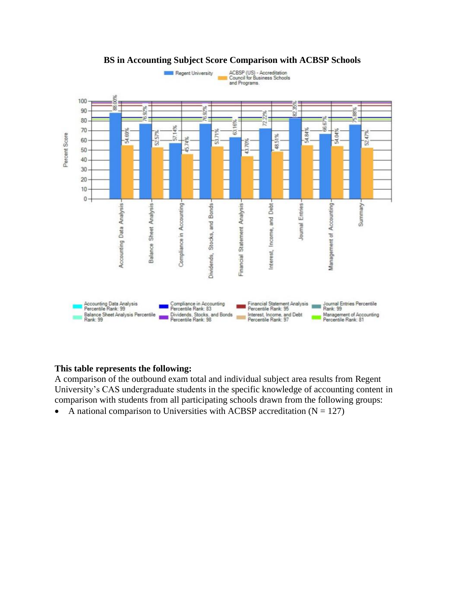

### **BS in Accounting Subject Score Comparison with ACBSP Schools**

#### **This table represents the following:**

A comparison of the outbound exam total and individual subject area results from Regent University's CAS undergraduate students in the specific knowledge of accounting content in comparison with students from all participating schools drawn from the following groups:

• A national comparison to Universities with ACBSP accreditation  $(N = 127)$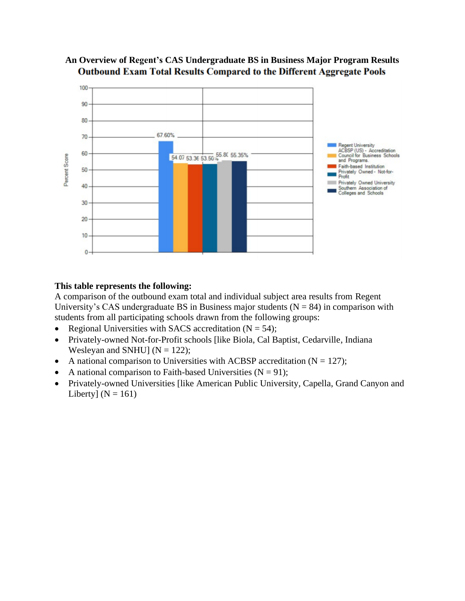

## **An Overview of Regent's CAS Undergraduate BS in Business Major Program Results Outbound Exam Total Results Compared to the Different Aggregate Pools**

## **This table represents the following:**

A comparison of the outbound exam total and individual subject area results from Regent University's CAS undergraduate BS in Business major students ( $N = 84$ ) in comparison with students from all participating schools drawn from the following groups:

- Regional Universities with SACS accreditation  $(N = 54)$ ;
- Privately-owned Not-for-Profit schools [like Biola, Cal Baptist, Cedarville, Indiana Wesleyan and SNHU] ( $N = 122$ );
- A national comparison to Universities with ACBSP accreditation  $(N = 127)$ ;
- A national comparison to Faith-based Universities  $(N = 91)$ ;
- Privately-owned Universities [like American Public University, Capella, Grand Canyon and Liberty]  $(N = 161)$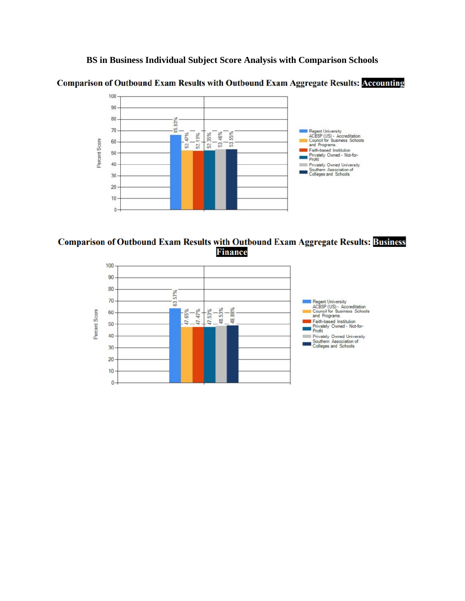**BS in Business Individual Subject Score Analysis with Comparison Schools**





#### **Comparison of Outbound Exam Results with Outbound Exam Aggregate Results: Business Finance**

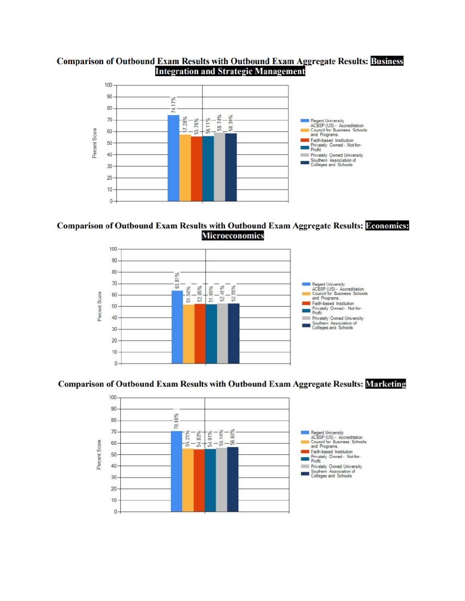### **Comparison of Outbound Exam Results with Outbound Exam Aggregate Results: Business Integration and Strategic Management**



#### **Comparison of Outbound Exam Results with Outbound Exam Aggregate Results: Deonomics: Microeconomics**



#### **Comparison of Outbound Exam Results with Outbound Exam Aggregate Results: Marketing**

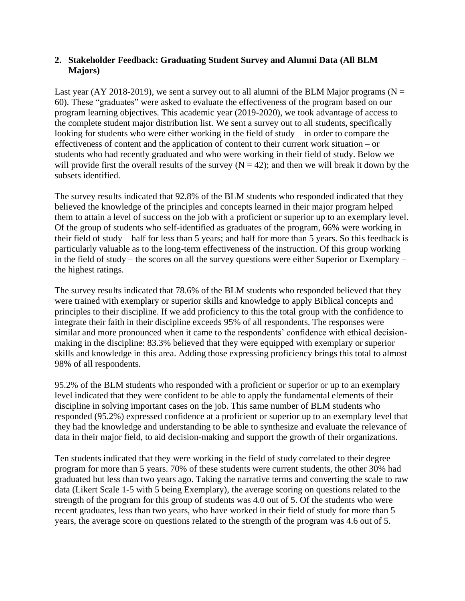### **2. Stakeholder Feedback: Graduating Student Survey and Alumni Data (All BLM Majors)**

Last year (AY 2018-2019), we sent a survey out to all alumni of the BLM Major programs ( $N =$ 60). These "graduates" were asked to evaluate the effectiveness of the program based on our program learning objectives. This academic year (2019-2020), we took advantage of access to the complete student major distribution list. We sent a survey out to all students, specifically looking for students who were either working in the field of study – in order to compare the effectiveness of content and the application of content to their current work situation – or students who had recently graduated and who were working in their field of study. Below we will provide first the overall results of the survey  $(N = 42)$ ; and then we will break it down by the subsets identified.

The survey results indicated that 92.8% of the BLM students who responded indicated that they believed the knowledge of the principles and concepts learned in their major program helped them to attain a level of success on the job with a proficient or superior up to an exemplary level. Of the group of students who self-identified as graduates of the program, 66% were working in their field of study – half for less than 5 years; and half for more than 5 years. So this feedback is particularly valuable as to the long-term effectiveness of the instruction. Of this group working in the field of study – the scores on all the survey questions were either Superior or Exemplary – the highest ratings.

The survey results indicated that 78.6% of the BLM students who responded believed that they were trained with exemplary or superior skills and knowledge to apply Biblical concepts and principles to their discipline. If we add proficiency to this the total group with the confidence to integrate their faith in their discipline exceeds 95% of all respondents. The responses were similar and more pronounced when it came to the respondents' confidence with ethical decisionmaking in the discipline: 83.3% believed that they were equipped with exemplary or superior skills and knowledge in this area. Adding those expressing proficiency brings this total to almost 98% of all respondents.

95.2% of the BLM students who responded with a proficient or superior or up to an exemplary level indicated that they were confident to be able to apply the fundamental elements of their discipline in solving important cases on the job. This same number of BLM students who responded (95.2%) expressed confidence at a proficient or superior up to an exemplary level that they had the knowledge and understanding to be able to synthesize and evaluate the relevance of data in their major field, to aid decision-making and support the growth of their organizations.

Ten students indicated that they were working in the field of study correlated to their degree program for more than 5 years. 70% of these students were current students, the other 30% had graduated but less than two years ago. Taking the narrative terms and converting the scale to raw data (Likert Scale 1-5 with 5 being Exemplary), the average scoring on questions related to the strength of the program for this group of students was 4.0 out of 5. Of the students who were recent graduates, less than two years, who have worked in their field of study for more than 5 years, the average score on questions related to the strength of the program was 4.6 out of 5.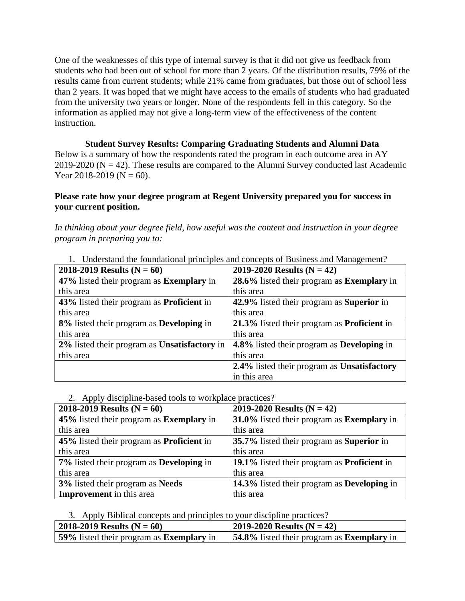One of the weaknesses of this type of internal survey is that it did not give us feedback from students who had been out of school for more than 2 years. Of the distribution results, 79% of the results came from current students; while 21% came from graduates, but those out of school less than 2 years. It was hoped that we might have access to the emails of students who had graduated from the university two years or longer. None of the respondents fell in this category. So the information as applied may not give a long-term view of the effectiveness of the content instruction.

**Student Survey Results: Comparing Graduating Students and Alumni Data** Below is a summary of how the respondents rated the program in each outcome area in AY 2019-2020 ( $N = 42$ ). These results are compared to the Alumni Survey conducted last Academic Year 2018-2019 ( $N = 60$ ).

### **Please rate how your degree program at Regent University prepared you for success in your current position.**

*In thinking about your degree field, how useful was the content and instruction in your degree program in preparing you to:*

| 1. Understand the foundational principles and concepts of Business and Management ?           |                                                    |  |  |  |  |
|-----------------------------------------------------------------------------------------------|----------------------------------------------------|--|--|--|--|
| 2018-2019 Results ( $N = 60$ )                                                                | 2019-2020 Results ( $N = 42$ )                     |  |  |  |  |
| 47% listed their program as <b>Exemplary</b> in                                               | 28.6% listed their program as <b>Exemplary</b> in  |  |  |  |  |
| this area                                                                                     | this area                                          |  |  |  |  |
| 42.9% listed their program as Superior in<br>43% listed their program as <b>Proficient</b> in |                                                    |  |  |  |  |
| this area                                                                                     | this area                                          |  |  |  |  |
| 8% listed their program as <b>Developing</b> in                                               | 21.3% listed their program as <b>Proficient</b> in |  |  |  |  |
| this area                                                                                     | this area                                          |  |  |  |  |
| 2% listed their program as Unsatisfactory in                                                  | 4.8% listed their program as <b>Developing</b> in  |  |  |  |  |
| this area                                                                                     | this area                                          |  |  |  |  |
|                                                                                               | 2.4% listed their program as Unsatisfactory        |  |  |  |  |
|                                                                                               | in this area                                       |  |  |  |  |

1. Understand the foundational principles and concepts of Business and Management?

#### 2. Apply discipline-based tools to workplace practices?

| 2018-2019 Results ( $N = 60$ )                   | 2019-2020 Results ( $N = 42$ )              |  |  |  |  |
|--------------------------------------------------|---------------------------------------------|--|--|--|--|
| 45% listed their program as Exemplary in         | 31.0% listed their program as Exemplary in  |  |  |  |  |
| this area                                        | this area                                   |  |  |  |  |
| 45% listed their program as <b>Proficient</b> in | 35.7% listed their program as Superior in   |  |  |  |  |
| this area                                        | this area                                   |  |  |  |  |
| 7% listed their program as <b>Developing</b> in  | 19.1% listed their program as Proficient in |  |  |  |  |
| this area                                        | this area                                   |  |  |  |  |
| 3% listed their program as Needs                 | 14.3% listed their program as Developing in |  |  |  |  |
| <b>Improvement</b> in this area                  | this area                                   |  |  |  |  |

3. Apply Biblical concepts and principles to your discipline practices?

| 2018-2019 Results ( $N = 60$ )                  | 2019-2020 Results (N = 42)                               |
|-------------------------------------------------|----------------------------------------------------------|
| 59% listed their program as <b>Exemplary</b> in | <b>54.8%</b> listed their program as <b>Exemplary</b> in |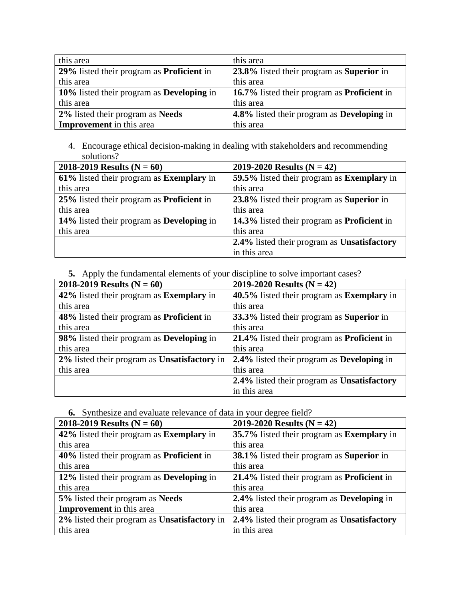| this area                                        | this area                                          |
|--------------------------------------------------|----------------------------------------------------|
| 29% listed their program as <b>Proficient</b> in | 23.8% listed their program as Superior in          |
| this area                                        | this area                                          |
| 10% listed their program as <b>Developing</b> in | 16.7% listed their program as <b>Proficient</b> in |
| this area                                        | this area                                          |
| 2% listed their program as Needs                 | 4.8% listed their program as Developing in         |
| <b>Improvement</b> in this area                  | this area                                          |

4. Encourage ethical decision-making in dealing with stakeholders and recommending solutions?

| 2018-2019 Results ( $N = 60$ )                   | 2019-2020 Results ( $N = 42$ )                     |  |  |  |  |
|--------------------------------------------------|----------------------------------------------------|--|--|--|--|
| 61% listed their program as Exemplary in         | 59.5% listed their program as Exemplary in         |  |  |  |  |
| this area                                        | this area                                          |  |  |  |  |
| 25% listed their program as <b>Proficient</b> in | 23.8% listed their program as Superior in          |  |  |  |  |
| this area                                        | this area                                          |  |  |  |  |
| 14% listed their program as <b>Developing</b> in | 14.3% listed their program as <b>Proficient</b> in |  |  |  |  |
| this area                                        | this area                                          |  |  |  |  |
|                                                  | 2.4% listed their program as Unsatisfactory        |  |  |  |  |
|                                                  | in this area                                       |  |  |  |  |

**5.** Apply the fundamental elements of your discipline to solve important cases?

| 2018-2019 Results ( $N = 60$ )                   | 2019-2020 Results ( $N = 42$ )                     |  |  |  |
|--------------------------------------------------|----------------------------------------------------|--|--|--|
| 42% listed their program as <b>Exemplary</b> in  | 40.5% listed their program as <b>Exemplary</b> in  |  |  |  |
| this area                                        | this area                                          |  |  |  |
| 48% listed their program as <b>Proficient</b> in | 33.3% listed their program as <b>Superior</b> in   |  |  |  |
| this area                                        | this area                                          |  |  |  |
| 98% listed their program as <b>Developing</b> in | 21.4% listed their program as <b>Proficient</b> in |  |  |  |
| this area                                        | this area                                          |  |  |  |
| 2% listed their program as Unsatisfactory in     | 2.4% listed their program as Developing in         |  |  |  |
| this area                                        | this area                                          |  |  |  |
|                                                  | 2.4% listed their program as Unsatisfactory        |  |  |  |
|                                                  | in this area                                       |  |  |  |

**6.** Synthesize and evaluate relevance of data in your degree field?

| 2018-2019 Results ( $N = 60$ )<br>2019-2020 Results ( $N = 42$ ) |                                                         |  |  |  |  |
|------------------------------------------------------------------|---------------------------------------------------------|--|--|--|--|
| 42% listed their program as <b>Exemplary</b> in                  | 35.7% listed their program as <b>Exemplary</b> in       |  |  |  |  |
| this area                                                        | this area                                               |  |  |  |  |
| 40% listed their program as <b>Proficient</b> in                 | <b>38.1%</b> listed their program as <b>Superior</b> in |  |  |  |  |
| this area                                                        | this area                                               |  |  |  |  |
| 12% listed their program as <b>Developing</b> in                 | 21.4% listed their program as <b>Proficient</b> in      |  |  |  |  |
| this area                                                        | this area                                               |  |  |  |  |
| 5% listed their program as Needs                                 | 2.4% listed their program as Developing in              |  |  |  |  |
| <b>Improvement</b> in this area                                  | this area                                               |  |  |  |  |
| 2% listed their program as Unsatisfactory in                     | 2.4% listed their program as Unsatisfactory             |  |  |  |  |
| this area                                                        | in this area                                            |  |  |  |  |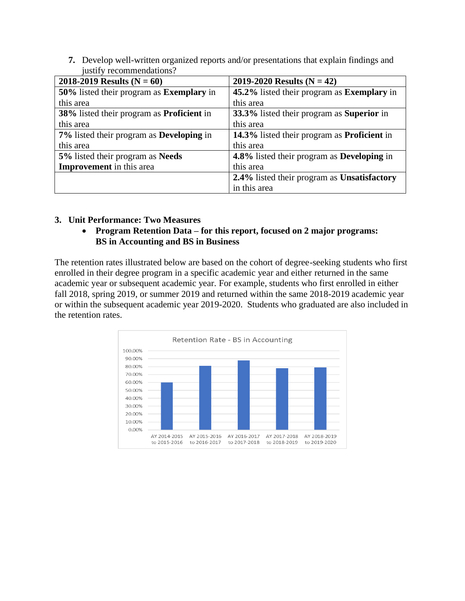**7.** Develop well-written organized reports and/or presentations that explain findings and justify recommendations?

| 2018-2019 Results ( $N = 60$ )<br>2019-2020 Results ( $N = 42$ ) |                                                    |  |  |  |
|------------------------------------------------------------------|----------------------------------------------------|--|--|--|
| 50% listed their program as <b>Exemplary</b> in                  | 45.2% listed their program as <b>Exemplary</b> in  |  |  |  |
| this area                                                        | this area                                          |  |  |  |
| 38% listed their program as <b>Proficient</b> in                 | 33.3% listed their program as <b>Superior</b> in   |  |  |  |
| this area                                                        | this area                                          |  |  |  |
| 7% listed their program as <b>Developing</b> in                  | 14.3% listed their program as <b>Proficient</b> in |  |  |  |
| this area                                                        | this area                                          |  |  |  |
| 5% listed their program as Needs                                 | 4.8% listed their program as Developing in         |  |  |  |
| <b>Improvement</b> in this area                                  | this area                                          |  |  |  |
|                                                                  | 2.4% listed their program as Unsatisfactory        |  |  |  |
|                                                                  | in this area                                       |  |  |  |

#### **3. Unit Performance: Two Measures**

• **Program Retention Data – for this report, focused on 2 major programs: BS in Accounting and BS in Business**

The retention rates illustrated below are based on the cohort of degree-seeking students who first enrolled in their degree program in a specific academic year and either returned in the same academic year or subsequent academic year. For example, students who first enrolled in either fall 2018, spring 2019, or summer 2019 and returned within the same 2018-2019 academic year or within the subsequent academic year 2019-2020. Students who graduated are also included in the retention rates.

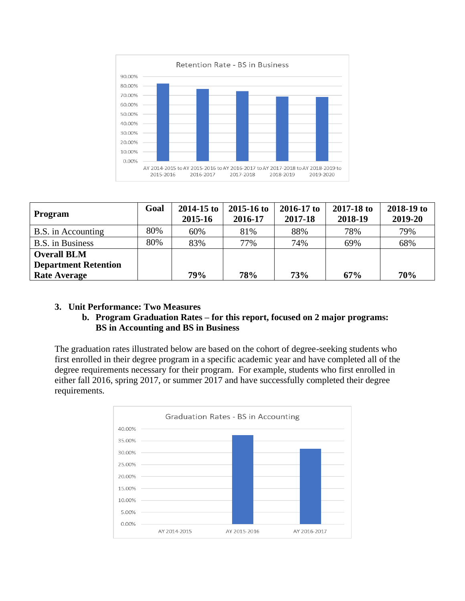

| Program                     | Goal | $2014 - 15$ to<br>2015-16 | $2015 - 16$ to<br>2016-17 | $2016 - 17$ to<br>2017-18 | 2017-18 to<br>2018-19 | 2018-19 to<br>2019-20 |
|-----------------------------|------|---------------------------|---------------------------|---------------------------|-----------------------|-----------------------|
| B.S. in Accounting          | 80%  | 60%                       | 81%                       | 88%                       | 78%                   | 79%                   |
| <b>B.S.</b> in Business     | 80%  | 83%                       | 77%                       | 74%                       | 69%                   | 68%                   |
| <b>Overall BLM</b>          |      |                           |                           |                           |                       |                       |
| <b>Department Retention</b> |      |                           |                           |                           |                       |                       |
| <b>Rate Average</b>         |      | 79%                       | 78%                       | <b>73%</b>                | 67%                   | 70%                   |

### **3. Unit Performance: Two Measures**

### **b. Program Graduation Rates – for this report, focused on 2 major programs: BS in Accounting and BS in Business**

The graduation rates illustrated below are based on the cohort of degree-seeking students who first enrolled in their degree program in a specific academic year and have completed all of the degree requirements necessary for their program. For example, students who first enrolled in either fall 2016, spring 2017, or summer 2017 and have successfully completed their degree requirements.

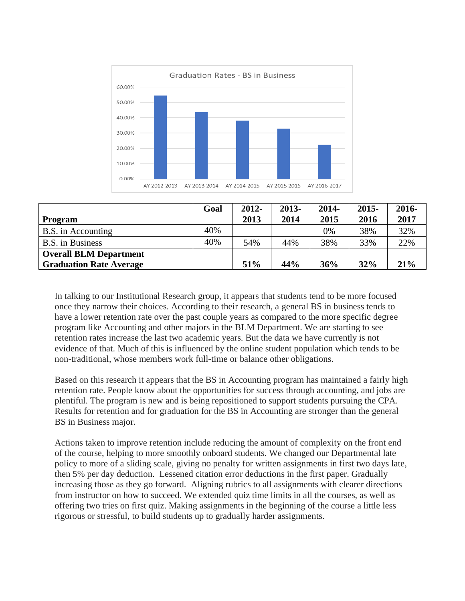

|                                | Goal | $2012 -$ | 2013- | $2014 -$ | $2015 -$ | 2016- |
|--------------------------------|------|----------|-------|----------|----------|-------|
| Program                        |      | 2013     | 2014  | 2015     | 2016     | 2017  |
| B.S. in Accounting             | 40%  |          |       | 0%       | 38%      | 32%   |
| <b>B.S.</b> in Business        | 40%  | 54%      | 44%   | 38%      | 33%      | 22%   |
| <b>Overall BLM Department</b>  |      |          |       |          |          |       |
| <b>Graduation Rate Average</b> |      | 51%      | 44%   | 36%      | 32%      | 21%   |

In talking to our Institutional Research group, it appears that students tend to be more focused once they narrow their choices. According to their research, a general BS in business tends to have a lower retention rate over the past couple years as compared to the more specific degree program like Accounting and other majors in the BLM Department. We are starting to see retention rates increase the last two academic years. But the data we have currently is not evidence of that. Much of this is influenced by the online student population which tends to be non-traditional, whose members work full-time or balance other obligations.

Based on this research it appears that the BS in Accounting program has maintained a fairly high retention rate. People know about the opportunities for success through accounting, and jobs are plentiful. The program is new and is being repositioned to support students pursuing the CPA. Results for retention and for graduation for the BS in Accounting are stronger than the general BS in Business major.

Actions taken to improve retention include reducing the amount of complexity on the front end of the course, helping to more smoothly onboard students. We changed our Departmental late policy to more of a sliding scale, giving no penalty for written assignments in first two days late, then 5% per day deduction. Lessened citation error deductions in the first paper. Gradually increasing those as they go forward. Aligning rubrics to all assignments with clearer directions from instructor on how to succeed. We extended quiz time limits in all the courses, as well as offering two tries on first quiz. Making assignments in the beginning of the course a little less rigorous or stressful, to build students up to gradually harder assignments.